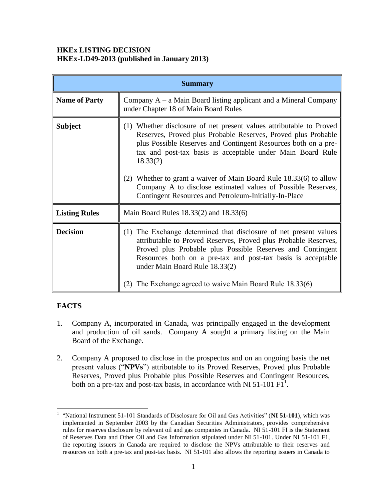#### **HKEx LISTING DECISION HKEx-LD49-2013 (published in January 2013)**

| <b>Summary</b>       |                                                                                                                                                                                                                                                                                                                                                                                                                                                                                 |
|----------------------|---------------------------------------------------------------------------------------------------------------------------------------------------------------------------------------------------------------------------------------------------------------------------------------------------------------------------------------------------------------------------------------------------------------------------------------------------------------------------------|
| <b>Name of Party</b> | Company $A - a$ Main Board listing applicant and a Mineral Company<br>under Chapter 18 of Main Board Rules                                                                                                                                                                                                                                                                                                                                                                      |
| <b>Subject</b>       | (1) Whether disclosure of net present values attributable to Proved<br>Reserves, Proved plus Probable Reserves, Proved plus Probable<br>plus Possible Reserves and Contingent Resources both on a pre-<br>tax and post-tax basis is acceptable under Main Board Rule<br>18.33(2)<br>(2) Whether to grant a waiver of Main Board Rule 18.33(6) to allow<br>Company A to disclose estimated values of Possible Reserves,<br>Contingent Resources and Petroleum-Initially-In-Place |
| <b>Listing Rules</b> | Main Board Rules 18.33(2) and 18.33(6)                                                                                                                                                                                                                                                                                                                                                                                                                                          |
| <b>Decision</b>      | (1) The Exchange determined that disclosure of net present values<br>attributable to Proved Reserves, Proved plus Probable Reserves,<br>Proved plus Probable plus Possible Reserves and Contingent<br>Resources both on a pre-tax and post-tax basis is acceptable<br>under Main Board Rule 18.33(2)<br>(2) The Exchange agreed to waive Main Board Rule 18.33(6)                                                                                                               |

# **FACTS**

 $\overline{a}$ 

- 1. Company A, incorporated in Canada, was principally engaged in the development and production of oil sands. Company A sought a primary listing on the Main Board of the Exchange.
- 2. Company A proposed to disclose in the prospectus and on an ongoing basis the net present values ("**NPVs**") attributable to its Proved Reserves, Proved plus Probable Reserves, Proved plus Probable plus Possible Reserves and Contingent Resources, both on a pre-tax and post-tax basis, in accordance with NI 51-101  $F1^1$ .

<sup>1</sup> "National Instrument 51-101 Standards of Disclosure for Oil and Gas Activities" (**NI 51-101**), which was implemented in September 2003 by the Canadian Securities Administrators, provides comprehensive rules for reserves disclosure by relevant oil and gas companies in Canada. NI 51-101 FI is the Statement of Reserves Data and Other Oil and Gas Information stipulated under NI 51-101. Under NI 51-101 F1, the reporting issuers in Canada are required to disclose the NPVs attributable to their reserves and resources on both a pre-tax and post-tax basis. NI 51-101 also allows the reporting issuers in Canada to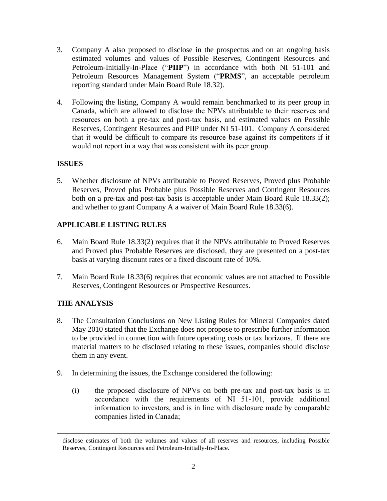- 3. Company A also proposed to disclose in the prospectus and on an ongoing basis estimated volumes and values of Possible Reserves, Contingent Resources and Petroleum-Initially-In-Place ("**PIIP**") in accordance with both NI 51-101 and Petroleum Resources Management System ("**PRMS**", an acceptable petroleum reporting standard under Main Board Rule 18.32).
- 4. Following the listing, Company A would remain benchmarked to its peer group in Canada, which are allowed to disclose the NPVs attributable to their reserves and resources on both a pre-tax and post-tax basis, and estimated values on Possible Reserves, Contingent Resources and PIIP under NI 51-101. Company A considered that it would be difficult to compare its resource base against its competitors if it would not report in a way that was consistent with its peer group.

#### **ISSUES**

5. Whether disclosure of NPVs attributable to Proved Reserves, Proved plus Probable Reserves, Proved plus Probable plus Possible Reserves and Contingent Resources both on a pre-tax and post-tax basis is acceptable under Main Board Rule 18.33(2); and whether to grant Company A a waiver of Main Board Rule 18.33(6).

# **APPLICABLE LISTING RULES**

- 6. Main Board Rule 18.33(2) requires that if the NPVs attributable to Proved Reserves and Proved plus Probable Reserves are disclosed, they are presented on a post-tax basis at varying discount rates or a fixed discount rate of 10%.
- 7. Main Board Rule 18.33(6) requires that economic values are not attached to Possible Reserves, Contingent Resources or Prospective Resources.

# **THE ANALYSIS**

 $\overline{a}$ 

- 8. The Consultation Conclusions on New Listing Rules for Mineral Companies dated May 2010 stated that the Exchange does not propose to prescribe further information to be provided in connection with future operating costs or tax horizons. If there are material matters to be disclosed relating to these issues, companies should disclose them in any event.
- 9. In determining the issues, the Exchange considered the following:
	- (i) the proposed disclosure of NPVs on both pre-tax and post-tax basis is in accordance with the requirements of NI 51-101, provide additional information to investors, and is in line with disclosure made by comparable companies listed in Canada;

disclose estimates of both the volumes and values of all reserves and resources, including Possible Reserves, Contingent Resources and Petroleum-Initially-In-Place.